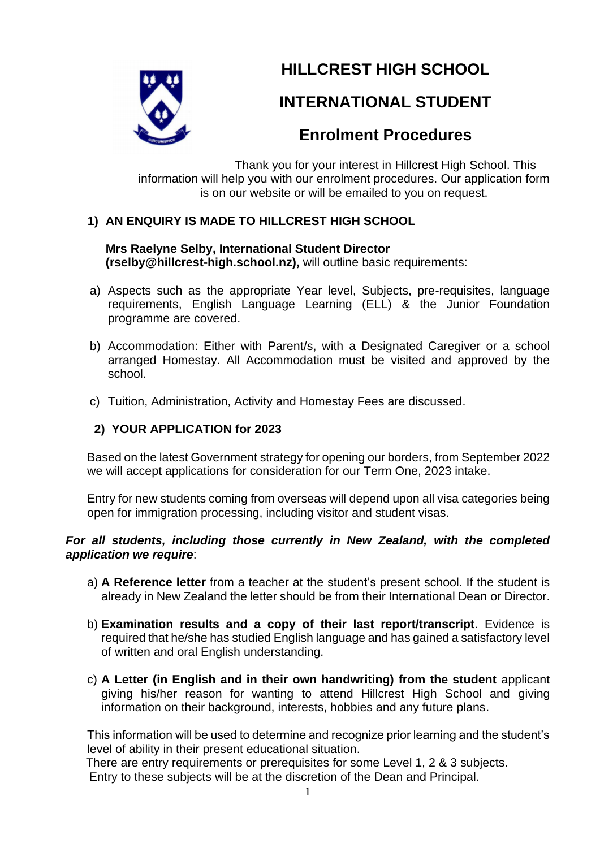**HILLCREST HIGH SCHOOL**



## **INTERNATIONAL STUDENT**

## **Enrolment Procedures**

Thank you for your interest in Hillcrest High School. This information will help you with our enrolment procedures. Our application form is on our website or will be emailed to you on request.

### **1) AN ENQUIRY IS MADE TO HILLCREST HIGH SCHOOL**

# **Mrs Raelyne Selby, International Student Director**

**(rselby@hillcrest-high.school.nz),** will outline basic requirements:

- a) Aspects such as the appropriate Year level, Subjects, pre-requisites, language requirements, English Language Learning (ELL) & the Junior Foundation programme are covered.
- b) Accommodation: Either with Parent/s, with a Designated Caregiver or a school arranged Homestay. All Accommodation must be visited and approved by the school.
- c) Tuition, Administration, Activity and Homestay Fees are discussed.

### **2) YOUR APPLICATION for 2023**

Based on the latest Government strategy for opening our borders, from September 2022 we will accept applications for consideration for our Term One, 2023 intake.

Entry for new students coming from overseas will depend upon all visa categories being open for immigration processing, including visitor and student visas.

#### *For all students, including those currently in New Zealand, with the completed application we require*:

- a) **A Reference letter** from a teacher at the student's present school. If the student is already in New Zealand the letter should be from their International Dean or Director.
- b) **Examination results and a copy of their last report/transcript**. Evidence is required that he/she has studied English language and has gained a satisfactory level of written and oral English understanding.
- c) **A Letter (in English and in their own handwriting) from the student** applicant giving his/her reason for wanting to attend Hillcrest High School and giving information on their background, interests, hobbies and any future plans.

This information will be used to determine and recognize prior learning and the student's level of ability in their present educational situation.

 There are entry requirements or prerequisites for some Level 1, 2 & 3 subjects. Entry to these subjects will be at the discretion of the Dean and Principal.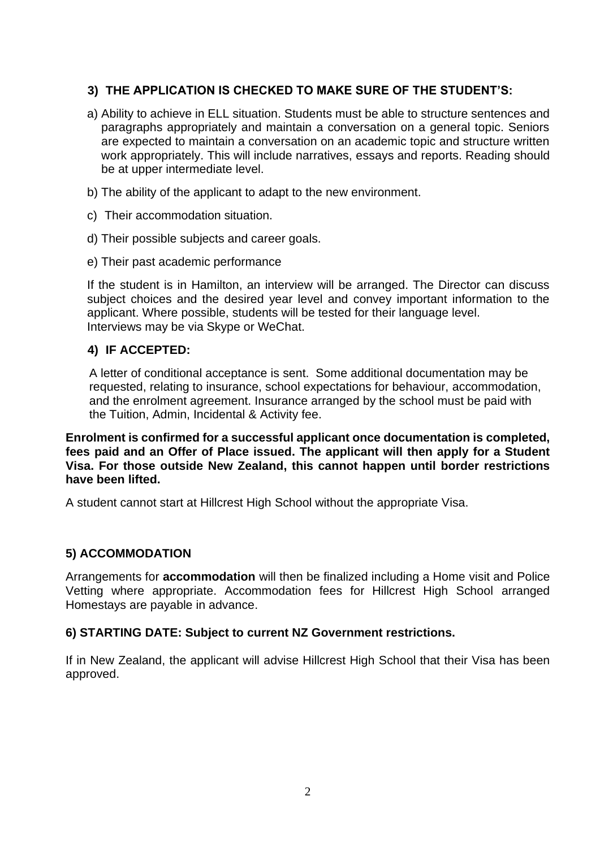#### **3) THE APPLICATION IS CHECKED TO MAKE SURE OF THE STUDENT'S:**

- a) Ability to achieve in ELL situation. Students must be able to structure sentences and paragraphs appropriately and maintain a conversation on a general topic. Seniors are expected to maintain a conversation on an academic topic and structure written work appropriately. This will include narratives, essays and reports. Reading should be at upper intermediate level.
- b) The ability of the applicant to adapt to the new environment.
- c) Their accommodation situation.
- d) Their possible subjects and career goals.
- e) Their past academic performance

If the student is in Hamilton, an interview will be arranged. The Director can discuss subject choices and the desired year level and convey important information to the applicant. Where possible, students will be tested for their language level. Interviews may be via Skype or WeChat.

#### **4) IF ACCEPTED:**

 A letter of conditional acceptance is sent. Some additional documentation may be requested, relating to insurance, school expectations for behaviour, accommodation, and the enrolment agreement. Insurance arranged by the school must be paid with the Tuition, Admin, Incidental & Activity fee.

**Enrolment is confirmed for a successful applicant once documentation is completed, fees paid and an Offer of Place issued. The applicant will then apply for a Student Visa. For those outside New Zealand, this cannot happen until border restrictions have been lifted.** 

A student cannot start at Hillcrest High School without the appropriate Visa.

#### **5) ACCOMMODATION**

Arrangements for **accommodation** will then be finalized including a Home visit and Police Vetting where appropriate. Accommodation fees for Hillcrest High School arranged Homestays are payable in advance.

#### **6) STARTING DATE: Subject to current NZ Government restrictions.**

If in New Zealand, the applicant will advise Hillcrest High School that their Visa has been approved.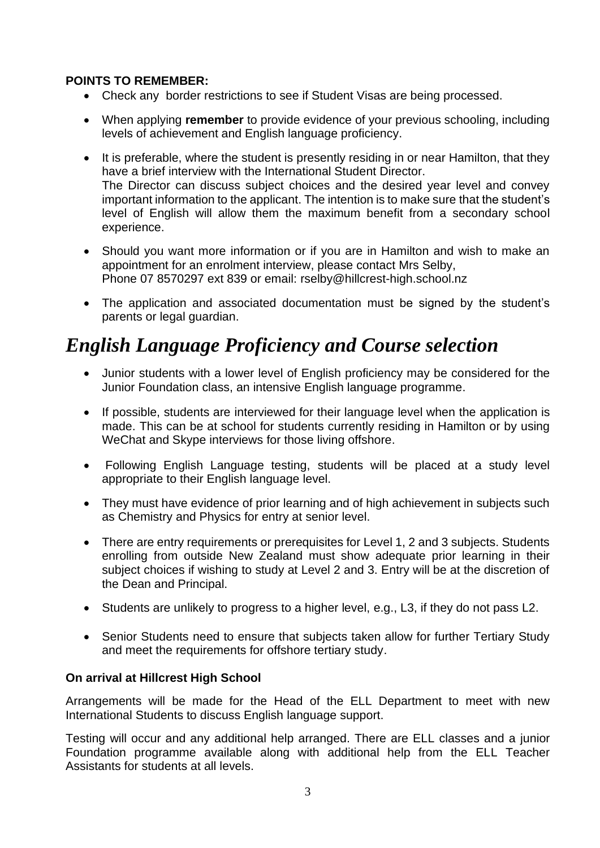#### **POINTS TO REMEMBER:**

- Check any border restrictions to see if Student Visas are being processed.
- When applying **remember** to provide evidence of your previous schooling, including levels of achievement and English language proficiency.
- It is preferable, where the student is presently residing in or near Hamilton, that they have a brief interview with the International Student Director. The Director can discuss subject choices and the desired year level and convey important information to the applicant. The intention is to make sure that the student's level of English will allow them the maximum benefit from a secondary school experience.
- Should you want more information or if you are in Hamilton and wish to make an appointment for an enrolment interview, please contact Mrs Selby, Phone 07 8570297 ext 839 or email: rselby@hillcrest-high.school.nz
- The application and associated documentation must be signed by the student's parents or legal guardian.

# *English Language Proficiency and Course selection*

- Junior students with a lower level of English proficiency may be considered for the Junior Foundation class, an intensive English language programme.
- If possible, students are interviewed for their language level when the application is made. This can be at school for students currently residing in Hamilton or by using WeChat and Skype interviews for those living offshore.
- Following English Language testing, students will be placed at a study level appropriate to their English language level.
- They must have evidence of prior learning and of high achievement in subjects such as Chemistry and Physics for entry at senior level.
- There are entry requirements or prerequisites for Level 1, 2 and 3 subjects. Students enrolling from outside New Zealand must show adequate prior learning in their subject choices if wishing to study at Level 2 and 3. Entry will be at the discretion of the Dean and Principal.
- Students are unlikely to progress to a higher level, e.g., L3, if they do not pass L2.
- Senior Students need to ensure that subjects taken allow for further Tertiary Study and meet the requirements for offshore tertiary study.

#### **On arrival at Hillcrest High School**

Arrangements will be made for the Head of the ELL Department to meet with new International Students to discuss English language support.

Testing will occur and any additional help arranged. There are ELL classes and a junior Foundation programme available along with additional help from the ELL Teacher Assistants for students at all levels.